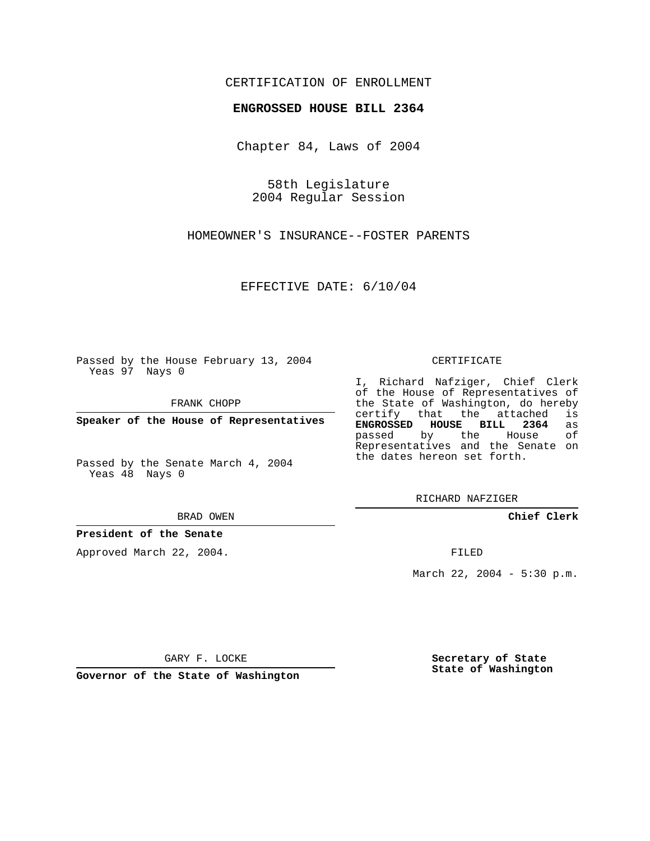## CERTIFICATION OF ENROLLMENT

### **ENGROSSED HOUSE BILL 2364**

Chapter 84, Laws of 2004

58th Legislature 2004 Regular Session

HOMEOWNER'S INSURANCE--FOSTER PARENTS

EFFECTIVE DATE: 6/10/04

Passed by the House February 13, 2004 Yeas 97 Nays 0

FRANK CHOPP

**Speaker of the House of Representatives**

Passed by the Senate March 4, 2004 Yeas 48 Nays 0

#### BRAD OWEN

## **President of the Senate**

Approved March 22, 2004.

#### CERTIFICATE

I, Richard Nafziger, Chief Clerk of the House of Representatives of the State of Washington, do hereby<br>certify that the attached is certify that the attached **ENGROSSED HOUSE BILL 2364** as passed by the House Representatives and the Senate on the dates hereon set forth.

RICHARD NAFZIGER

**Chief Clerk**

FILED

March 22, 2004 - 5:30 p.m.

GARY F. LOCKE

**Governor of the State of Washington**

**Secretary of State State of Washington**